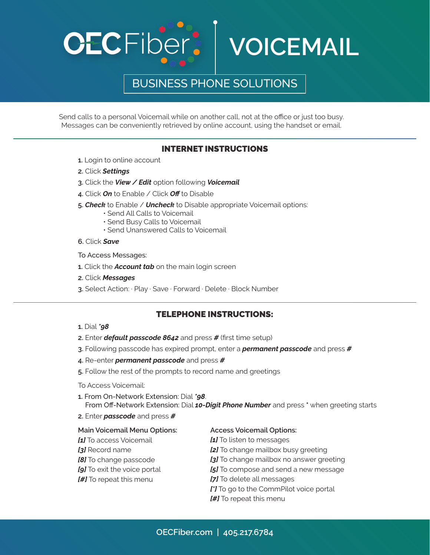

Send calls to a personal Voicemail while on another call, not at the office or just too busy. Messages can be conveniently retrieved by online account, using the handset or email.

### INTERNET INSTRUCTIONS

- **1.** Login to online account
- **2.** Click *Settings*
- **3.** Click the *View / Edit* option following *Voicemail*
- **4.** Click *On* to Enable / Click *Off* to Disable
- **5.** *Check* to Enable / *Uncheck* to Disable appropriate Voicemail options:
	- Send All Calls to Voicemail
	- Send Busy Calls to Voicemail
	- Send Unanswered Calls to Voicemail

**6.** Click *Save*

To Access Messages:

- **1.** Click the *Account tab* on the main login screen
- **2.** Click *Messages*
- **3.** Select Action: · Play · Save · Forward · Delete · Block Number

### TELEPHONE INSTRUCTIONS:

- **1.** Dial *\*98*
- **2.** Enter *default passcode 8642* and press *#* (first time setup)
- **3.** Following passcode has expired prompt, enter a *permanent passcode* and press *#*
- **4.** Re-enter *permanent passcode* and press *#*
- **5.** Follow the rest of the prompts to record name and greetings

To Access Voicemail:

- **1.** From On-Network Extension: Dial *\*98*. From Off-Network Extension: Dial *10-Digit Phone Number* and press **\*** when greeting starts
- **2.** Enter *passcode* and press *#*

#### **Main Voicemail Menu Options:**

- *[1]* To access Voicemail
- *[3]* Record name
- *[8]* To change passcode
- *[9]* To exit the voice portal
- *[#]* To repeat this menu

#### **Access Voicemail Options:**

- *[1]* To listen to messages
- *[2]* To change mailbox busy greeting
- **[3]** To change mailbox no answer greeting
- **[5]** To compose and send a new message
- *[7]* To delete all messages
- *[\*]* To go to the CommPilot voice portal
- *[#]* To repeat this menu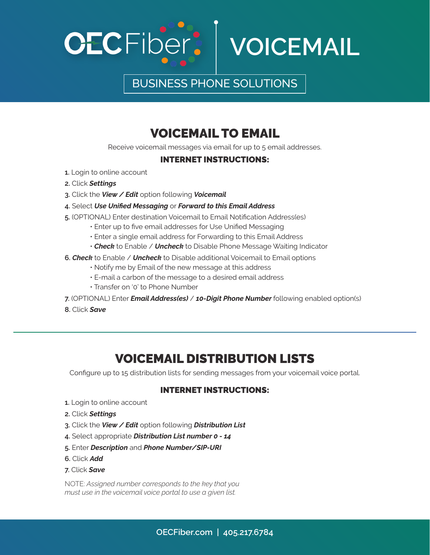



# VOICEMAIL TO EMAIL

Receive voicemail messages via email for up to 5 email addresses.

### INTERNET INSTRUCTIONS:

- **1.** Login to online account
- **2.** Click *Settings*
- **3.** Click the *View / Edit* option following *Voicemail*
- **4.** Select *Use Unified Messaging* or *Forward to this Email Address*
- **5.** (OPTIONAL) Enter destination Voicemail to Email Notification Address(es)
	- Enter up to five email addresses for Use Unified Messaging
		- Enter a single email address for Forwarding to this Email Address
		- *Check* to Enable / *Uncheck* to Disable Phone Message Waiting Indicator
- **6.** *Check* to Enable / *Uncheck* to Disable additional Voicemail to Email options
	- Notify me by Email of the new message at this address
	- E-mail a carbon of the message to a desired email address
	- Transfer on '0' to Phone Number
- **7.** (OPTIONAL) Enter *Email Address(es)* / *10-Digit Phone Number* following enabled option(s)
- **8.** Click *Save*

### VOICEMAIL DISTRIBUTION LISTS

Configure up to 15 distribution lists for sending messages from your voicemail voice portal.

### INTERNET INSTRUCTIONS:

- **1.** Login to online account
- **2.** Click *Settings*
- **3.** Click the *View / Edit* option following *Distribution List*
- **4.** Select appropriate *Distribution List number 0 14*
- **5.** Enter *Description* and *Phone Number/SIP-URI*
- **6.** Click *Add*
- **7.** Click *Save*

NOTE: *Assigned number corresponds to the key that you must use in the voicemail voice portal to use a given list.*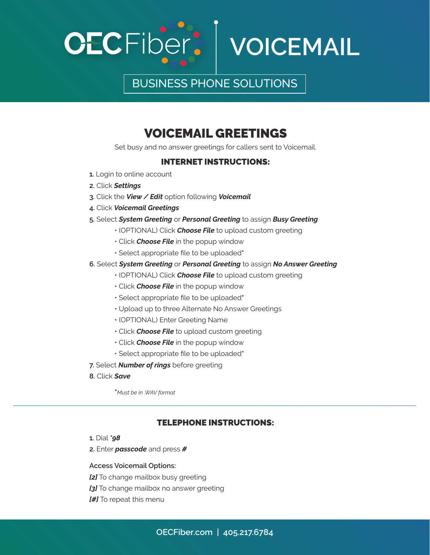



# VOICEMAIL GREETINGS

Set busy and no answer greetings for callers sent to Voicemail.

### INTERNET INSTRUCTIONS:

- **1.** Login to online account
- **2.** Click *Settings*
- **3.** Click the *View / Edit* option following *Voicemail*
- **4.** Click *Voicemail Greetings*
- **5.** Select *System Greeting* or *Personal Greeting* to assign *Busy Greeting*
	- (OPTIONAL) Click *Choose File* to upload custom greeting
	- Click *Choose File* in the popup window
	- Select appropriate file to be uploaded**\***
- **6.** Select *System Greeting* or *Personal Greeting* to assign *No Answer Greeting*
	- (OPTIONAL) Click *Choose File* to upload custom greeting
	- Click *Choose File* in the popup window
	- Select appropriate file to be uploaded**\***
	- Upload up to three Alternate No Answer Greetings
	- (OPTIONAL) Enter Greeting Name
	- Click *Choose File* to upload custom greeting
	- Click *Choose File* in the popup window
	- Select appropriate file to be uploaded**\***
- **7.** Select *Number of rings* before greeting
- **8.** Click *Save*

**\****Must be in .WAV format*

#### TELEPHONE INSTRUCTIONS:

- **1.** Dial *\*98*
- **2.** Enter *passcode* and press *#*

#### **Access Voicemail Options:**

- *[2]* To change mailbox busy greeting
- **[3]** To change mailbox no answer greeting
- *[#]* To repeat this menu